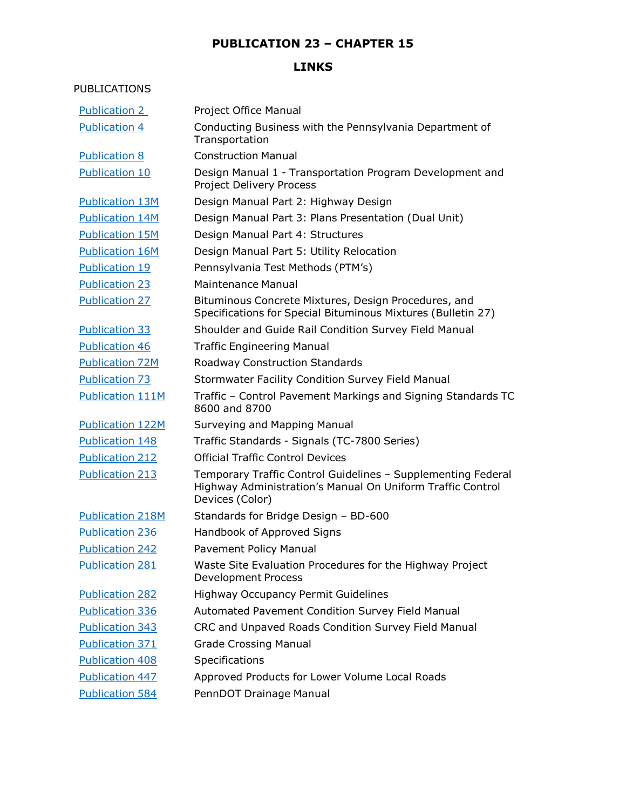### **LINKS**

#### PUBLICATIONS

| <b>Publication 2</b>    | Project Office Manual                                                                                                                         |
|-------------------------|-----------------------------------------------------------------------------------------------------------------------------------------------|
| <b>Publication 4</b>    | Conducting Business with the Pennsylvania Department of<br>Transportation                                                                     |
| <b>Publication 8</b>    | <b>Construction Manual</b>                                                                                                                    |
| <b>Publication 10</b>   | Design Manual 1 - Transportation Program Development and<br><b>Project Delivery Process</b>                                                   |
| <b>Publication 13M</b>  | Design Manual Part 2: Highway Design                                                                                                          |
| <b>Publication 14M</b>  | Design Manual Part 3: Plans Presentation (Dual Unit)                                                                                          |
| <b>Publication 15M</b>  | Design Manual Part 4: Structures                                                                                                              |
| <b>Publication 16M</b>  | Design Manual Part 5: Utility Relocation                                                                                                      |
| <b>Publication 19</b>   | Pennsylvania Test Methods (PTM's)                                                                                                             |
| <b>Publication 23</b>   | <b>Maintenance Manual</b>                                                                                                                     |
| <b>Publication 27</b>   | Bituminous Concrete Mixtures, Design Procedures, and<br>Specifications for Special Bituminous Mixtures (Bulletin 27)                          |
| <b>Publication 33</b>   | Shoulder and Guide Rail Condition Survey Field Manual                                                                                         |
| Publication 46          | <b>Traffic Engineering Manual</b>                                                                                                             |
| <b>Publication 72M</b>  | <b>Roadway Construction Standards</b>                                                                                                         |
| <b>Publication 73</b>   | <b>Stormwater Facility Condition Survey Field Manual</b>                                                                                      |
| Publication 111M        | Traffic - Control Pavement Markings and Signing Standards TC<br>8600 and 8700                                                                 |
| <b>Publication 122M</b> | <b>Surveying and Mapping Manual</b>                                                                                                           |
| <b>Publication 148</b>  | Traffic Standards - Signals (TC-7800 Series)                                                                                                  |
| <b>Publication 212</b>  | <b>Official Traffic Control Devices</b>                                                                                                       |
| <b>Publication 213</b>  | Temporary Traffic Control Guidelines - Supplementing Federal<br>Highway Administration's Manual On Uniform Traffic Control<br>Devices (Color) |
| <b>Publication 218M</b> | Standards for Bridge Design - BD-600                                                                                                          |
| <b>Publication 236</b>  | Handbook of Approved Signs                                                                                                                    |
| <b>Publication 242</b>  | <b>Pavement Policy Manual</b>                                                                                                                 |
| <b>Publication 281</b>  | Waste Site Evaluation Procedures for the Highway Project<br><b>Development Process</b>                                                        |
| <b>Publication 282</b>  | <b>Highway Occupancy Permit Guidelines</b>                                                                                                    |
| <b>Publication 336</b>  | Automated Pavement Condition Survey Field Manual                                                                                              |
| <b>Publication 343</b>  | CRC and Unpaved Roads Condition Survey Field Manual                                                                                           |
| <b>Publication 371</b>  | <b>Grade Crossing Manual</b>                                                                                                                  |
| <b>Publication 408</b>  | Specifications                                                                                                                                |
| <b>Publication 447</b>  | Approved Products for Lower Volume Local Roads                                                                                                |
| <b>Publication 584</b>  | PennDOT Drainage Manual                                                                                                                       |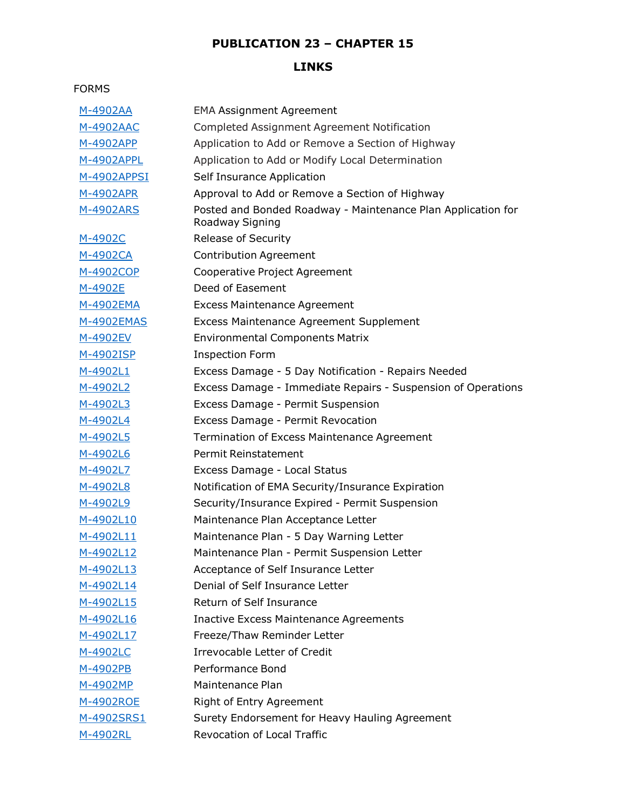### **LINKS**

#### FORMS

| M-4902AA         | <b>EMA Assignment Agreement</b>                                                 |
|------------------|---------------------------------------------------------------------------------|
| <u>M-4902AAC</u> | Completed Assignment Agreement Notification                                     |
| <u>M-4902APP</u> | Application to Add or Remove a Section of Highway                               |
| M-4902APPL       | Application to Add or Modify Local Determination                                |
| M-4902APPSI      | Self Insurance Application                                                      |
| M-4902APR        | Approval to Add or Remove a Section of Highway                                  |
| <u>M-4902ARS</u> | Posted and Bonded Roadway - Maintenance Plan Application for<br>Roadway Signing |
| M-4902C          | <b>Release of Security</b>                                                      |
| <u>M-4902CA</u>  | <b>Contribution Agreement</b>                                                   |
| <u>M-4902COP</u> | Cooperative Project Agreement                                                   |
| M-4902E          | Deed of Easement                                                                |
| <u>M-4902EMA</u> | <b>Excess Maintenance Agreement</b>                                             |
| M-4902EMAS       | <b>Excess Maintenance Agreement Supplement</b>                                  |
| M-4902EV         | <b>Environmental Components Matrix</b>                                          |
| M-4902ISP        | <b>Inspection Form</b>                                                          |
| M-4902L1         | Excess Damage - 5 Day Notification - Repairs Needed                             |
| M-4902L2         | Excess Damage - Immediate Repairs - Suspension of Operations                    |
| M-4902L3         | Excess Damage - Permit Suspension                                               |
| <u>M-4902L4</u>  | Excess Damage - Permit Revocation                                               |
| M-4902L5         | Termination of Excess Maintenance Agreement                                     |
| M-4902L6         | Permit Reinstatement                                                            |
| M-4902L7         | Excess Damage - Local Status                                                    |
| M-4902L8         | Notification of EMA Security/Insurance Expiration                               |
| M-4902L9         | Security/Insurance Expired - Permit Suspension                                  |
| M-4902L10        | Maintenance Plan Acceptance Letter                                              |
| M-4902L11        | Maintenance Plan - 5 Day Warning Letter                                         |
| M-4902L12        | Maintenance Plan - Permit Suspension Letter                                     |
| M-4902L13        | Acceptance of Self Insurance Letter                                             |
| M-4902L14        | Denial of Self Insurance Letter                                                 |
| M-4902L15        | Return of Self Insurance                                                        |
| M-4902L16        | <b>Inactive Excess Maintenance Agreements</b>                                   |
| M-4902L17        | Freeze/Thaw Reminder Letter                                                     |
| M-4902LC         | <b>Irrevocable Letter of Credit</b>                                             |
| M-4902PB         | Performance Bond                                                                |
| <u>M-4902MP</u>  | Maintenance Plan                                                                |
| M-4902ROE        | <b>Right of Entry Agreement</b>                                                 |
| M-4902SRS1       | Surety Endorsement for Heavy Hauling Agreement                                  |
| M-4902RL         | Revocation of Local Traffic                                                     |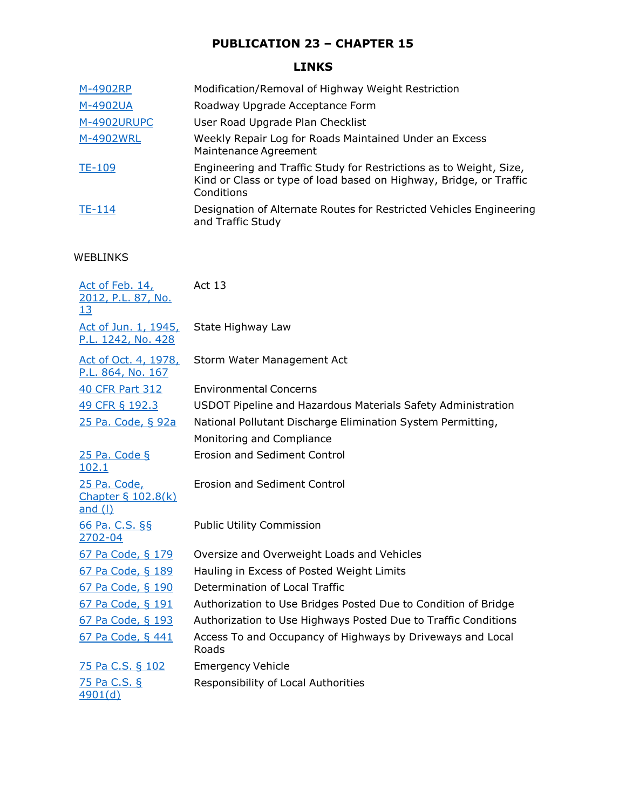## **LINKS**

| M-4902RP      | Modification/Removal of Highway Weight Restriction                                                                                                     |
|---------------|--------------------------------------------------------------------------------------------------------------------------------------------------------|
| M-4902UA      | Roadway Upgrade Acceptance Form                                                                                                                        |
| M-4902URUPC   | User Road Upgrade Plan Checklist                                                                                                                       |
| M-4902WRL     | Weekly Repair Log for Roads Maintained Under an Excess<br>Maintenance Agreement                                                                        |
| <b>TE-109</b> | Engineering and Traffic Study for Restrictions as to Weight, Size,<br>Kind or Class or type of load based on Highway, Bridge, or Traffic<br>Conditions |
| TE-114        | Designation of Alternate Routes for Restricted Vehicles Engineering<br>and Traffic Study                                                               |

#### WEBLINKS

| Act of Feb. 14,<br>2012, P.L. 87, No.<br><u>13</u>     | <b>Act 13</b>                                                       |
|--------------------------------------------------------|---------------------------------------------------------------------|
| Act of Jun. 1, 1945,<br>P.L. 1242, No. 428             | State Highway Law                                                   |
| <u>Act of Oct. 4, 1978,</u><br>P.L. 864, No. 167       | Storm Water Management Act                                          |
| <b>40 CFR Part 312</b>                                 | <b>Environmental Concerns</b>                                       |
| 49 CFR § 192.3                                         | USDOT Pipeline and Hazardous Materials Safety Administration        |
| 25 Pa. Code, § 92a                                     | National Pollutant Discharge Elimination System Permitting,         |
|                                                        | Monitoring and Compliance                                           |
| 25 Pa. Code §<br>102.1                                 | <b>Erosion and Sediment Control</b>                                 |
| 25 Pa. Code,<br><b>Chapter § 102.8(k)</b><br>and $($ ) | <b>Erosion and Sediment Control</b>                                 |
| 66 Pa. C.S. §§<br>2702-04                              | <b>Public Utility Commission</b>                                    |
| 67 Pa Code, § 179                                      | Oversize and Overweight Loads and Vehicles                          |
| 67 Pa Code, § 189                                      | Hauling in Excess of Posted Weight Limits                           |
| 67 Pa Code, § 190                                      | Determination of Local Traffic                                      |
| 67 Pa Code, § 191                                      | Authorization to Use Bridges Posted Due to Condition of Bridge      |
| 67 Pa Code, § 193                                      | Authorization to Use Highways Posted Due to Traffic Conditions      |
| 67 Pa Code, § 441                                      | Access To and Occupancy of Highways by Driveways and Local<br>Roads |
| 75 Pa C.S. § 102                                       | <b>Emergency Vehicle</b>                                            |
| 75 Pa C.S. §<br>4901(d)                                | Responsibility of Local Authorities                                 |